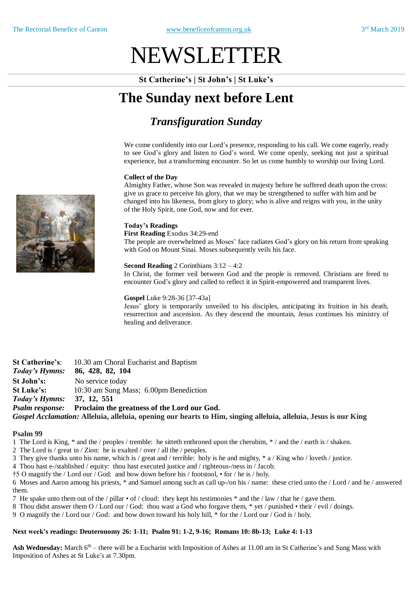# NEWSLETTER

**St Catherine's | St John's | St Luke's**

## **The Sunday next before Lent**

## *Transfiguration Sunday*

We come confidently into our Lord's presence, responding to his call. We come eagerly, ready to see God's glory and listen to God's word. We come openly, seeking not just a spiritual experience, but a transforming encounter. So let us come humbly to worship our living Lord.

#### **Collect of the Day**

Almighty Father, whose Son was revealed in majesty before he suffered death upon the cross: give us grace to perceive his glory, that we may be strengthened to suffer with him and be changed into his likeness, from glory to glory; who is alive and reigns with you, in the unity of the Holy Spirit, one God, now and for ever.

#### **Today's Readings**

**First Reading** Exodus 34:29-end

The people are overwhelmed as Moses' face radiates God's glory on his return from speaking with God on Mount Sinai. Moses subsequently veils his face.

#### **Second Reading** 2 Corinthians 3:12 – 4:2

In Christ, the former veil between God and the people is removed. Christians are freed to encounter God's glory and called to reflect it in Spirit-empowered and transparent lives.

#### **Gospel** Luke 9:28-36 [37-43a]

Jesus' glory is temporarily unveiled to his disciples, anticipating its fruition in his death, resurrection and ascension. As they descend the mountain, Jesus continues his ministry of healing and deliverance.

**St Catherine's**: 10.30 am Choral Eucharist and Baptism *Today's Hymns:* **86, 428, 82, 104 St John's:** No service today **St Luke's:** 10:30 am Sung Mass; 6.00pm Benediction *Today's Hymns:* **37, 12, 551** *Psalm response:* **Proclaim the greatness of the Lord our God.** *Gospel Acclamation:* **Alleluia, alleluia, opening our hearts to Him, singing alleluia, alleluia, Jesus is our King**

#### **Psalm 99**

1 The Lord is King, \* and the / peoples / tremble: he sitteth enthroned upon the cherubim, \* / and the / earth is / shaken.

- 2 The Lord is / great in / Zion: he is exalted / over / all the / peoples.
- 3 They give thanks unto his name, which is / great and / terrible: holy is he and mighty, \* a / King who / loveth / justice.
- 4 Thou hast e-/stablished / equity: thou hast executed justice and / righteous-/ness in / Jacob.
- †5 O magnify the / Lord our / God: and bow down before his / footstool, for / he is / holy.

6 Moses and Aaron among his priests, \* and Samuel among such as call up-/on his / name: these cried unto the / Lord / and he / answered them.

- 7 He spake unto them out of the / pillar  $\cdot$  of / cloud: they kept his testimonies  $*$  and the / law / that he / gave them.
- 8 Thou didst answer them O / Lord our / God: thou wast a God who forgave them, \* yet / punished their / evil / doings.
- 9 O magnify the / Lord our / God: and bow down toward his holy hill, \* for the / Lord our / God is / holy.

#### **Next week's readings: Deuteronomy 26: 1-11; Psalm 91: 1-2, 9-16; Romans 10: 8b-13; Luke 4: 1-13**

Ash Wednesday: March 6<sup>th</sup> – there will be a Eucharist with Imposition of Ashes at 11.00 am in St Catherine's and Sung Mass with Imposition of Ashes at St Luke's at 7.30pm.